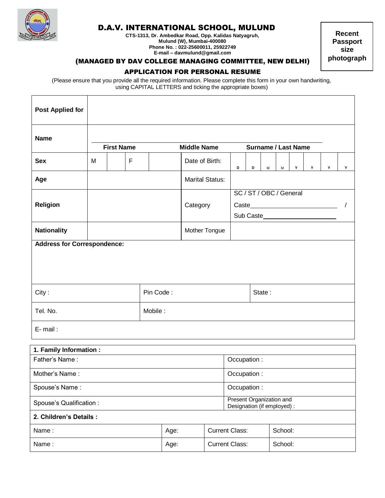

Г

т

## D.A.V. INTERNATIONAL SCHOOL, MULUND

**CTS-1313, Dr. Ambedkar Road, Opp. Kalidas Natyagruh, Mulund (W), Mumbai-400080 Phone No. : 022-25600011, 25922749 E-mail – davmulund@gmail.com**

**Recent Passport size photograph**

٦

## (MANAGED BY DAV COLLEGE MANAGING COMMITTEE, NEW DELHI)

## APPLICATION FOR PERSONAL RESUME

(Please ensure that you provide all the required information. Please complete this form in your own handwriting, using CAPITAL LETTERS and ticking the appropriate boxes)

| <b>Post Applied for</b>            |                   |  |  |      |               |                        |                                                         |             |                            |                                      |   |   |   |   |   |
|------------------------------------|-------------------|--|--|------|---------------|------------------------|---------------------------------------------------------|-------------|----------------------------|--------------------------------------|---|---|---|---|---|
| <b>Name</b>                        | <b>First Name</b> |  |  |      |               | <b>Middle Name</b>     |                                                         |             | <b>Surname / Last Name</b> |                                      |   |   |   |   |   |
| <b>Sex</b>                         | F<br>M            |  |  |      |               | Date of Birth:         |                                                         | D           | D                          | M                                    | M | Y | Y | Y | Y |
| Age                                |                   |  |  |      |               | <b>Marital Status:</b> |                                                         |             |                            |                                      |   |   |   |   |   |
| <b>Religion</b>                    |                   |  |  |      |               | Category               |                                                         |             |                            | SC / ST / OBC / General<br>Sub Caste |   |   |   |   |   |
| <b>Nationality</b>                 |                   |  |  |      | Mother Tongue |                        |                                                         |             |                            |                                      |   |   |   |   |   |
| <b>Address for Correspondence:</b> |                   |  |  |      |               |                        |                                                         |             |                            |                                      |   |   |   |   |   |
| Pin Code:<br>City:                 |                   |  |  |      |               |                        |                                                         |             | State:                     |                                      |   |   |   |   |   |
| Tel. No.<br>Mobile:                |                   |  |  |      |               |                        |                                                         |             |                            |                                      |   |   |   |   |   |
| E-mail:                            |                   |  |  |      |               |                        |                                                         |             |                            |                                      |   |   |   |   |   |
| 1. Family Information :            |                   |  |  |      |               |                        |                                                         |             |                            |                                      |   |   |   |   |   |
| Father's Name:                     |                   |  |  |      |               |                        |                                                         |             | Occupation :               |                                      |   |   |   |   |   |
| Mother's Name:                     |                   |  |  |      |               |                        |                                                         | Occupation: |                            |                                      |   |   |   |   |   |
| Spouse's Name:                     |                   |  |  |      |               | Occupation:            |                                                         |             |                            |                                      |   |   |   |   |   |
| Spouse's Qualification :           |                   |  |  |      |               |                        | Present Organization and<br>Designation (if employed) : |             |                            |                                      |   |   |   |   |   |
| 2. Children's Details :            |                   |  |  |      |               |                        |                                                         |             |                            |                                      |   |   |   |   |   |
| Name:                              |                   |  |  | Age: |               | <b>Current Class:</b>  |                                                         |             |                            | School:                              |   |   |   |   |   |
| Name:                              |                   |  |  | Age: |               | <b>Current Class:</b>  |                                                         |             | School:                    |                                      |   |   |   |   |   |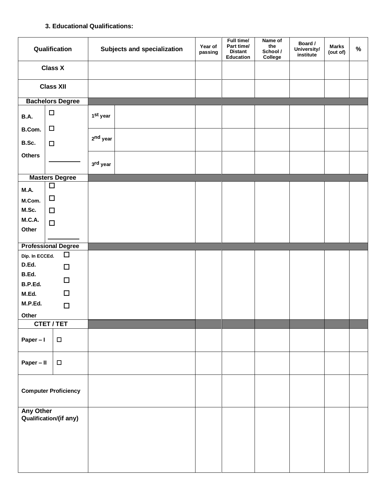## **3. Educational Qualifications:**

| Qualification<br><b>Subjects and specialization</b> |                             | Year of<br>passing   | Full time/<br>Part time/<br><b>Distant</b><br>Education | Name of<br>the<br>School /<br>College | Board /<br>University/<br>institute | <b>Marks</b><br>(out of) | $\%$ |  |
|-----------------------------------------------------|-----------------------------|----------------------|---------------------------------------------------------|---------------------------------------|-------------------------------------|--------------------------|------|--|
|                                                     | <b>Class X</b>              |                      |                                                         |                                       |                                     |                          |      |  |
| <b>Class XII</b>                                    |                             |                      |                                                         |                                       |                                     |                          |      |  |
|                                                     | <b>Bachelors Degree</b>     |                      |                                                         |                                       |                                     |                          |      |  |
| B.A.                                                | $\Box$                      | 1 <sup>st</sup> year |                                                         |                                       |                                     |                          |      |  |
| B.Com.                                              | $\Box$                      |                      |                                                         |                                       |                                     |                          |      |  |
| B.Sc.                                               | $\Box$                      | 2 <sup>nd</sup> year |                                                         |                                       |                                     |                          |      |  |
| <b>Others</b>                                       |                             | 3rd year             |                                                         |                                       |                                     |                          |      |  |
|                                                     | <b>Masters Degree</b>       |                      |                                                         |                                       |                                     |                          |      |  |
| <b>M.A.</b>                                         | $\Box$                      |                      |                                                         |                                       |                                     |                          |      |  |
| M.Com.                                              | $\Box$                      |                      |                                                         |                                       |                                     |                          |      |  |
| M.Sc.                                               | $\Box$                      |                      |                                                         |                                       |                                     |                          |      |  |
| <b>M.C.A.</b><br>Other                              | $\Box$                      |                      |                                                         |                                       |                                     |                          |      |  |
|                                                     | <b>Professional Degree</b>  |                      |                                                         |                                       |                                     |                          |      |  |
| Dip. In ECCEd.                                      | $\Box$                      |                      |                                                         |                                       |                                     |                          |      |  |
| D.Ed.                                               | $\Box$                      |                      |                                                         |                                       |                                     |                          |      |  |
| B.Ed.                                               |                             |                      |                                                         |                                       |                                     |                          |      |  |
| B.P.Ed.                                             | $\Box$                      |                      |                                                         |                                       |                                     |                          |      |  |
| M.Ed.                                               | $\Box$                      |                      |                                                         |                                       |                                     |                          |      |  |
| M.P.Ed.                                             | $\Box$                      |                      |                                                         |                                       |                                     |                          |      |  |
| Other                                               |                             |                      |                                                         |                                       |                                     |                          |      |  |
|                                                     | <b>CTET/TET</b>             |                      |                                                         |                                       |                                     |                          |      |  |
| Paper - I                                           | $\Box$                      |                      |                                                         |                                       |                                     |                          |      |  |
| Paper - II                                          | $\Box$                      |                      |                                                         |                                       |                                     |                          |      |  |
|                                                     | <b>Computer Proficiency</b> |                      |                                                         |                                       |                                     |                          |      |  |
| <b>Any Other</b>                                    | Qualification/(if any)      |                      |                                                         |                                       |                                     |                          |      |  |
|                                                     |                             |                      |                                                         |                                       |                                     |                          |      |  |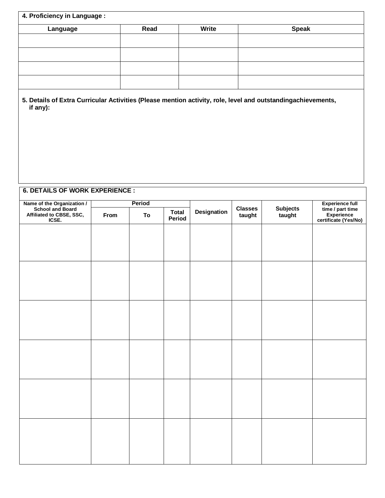|                                                                                                                          | 4. Proficiency in Language : |              |                        |             |                          |                           |                                                                                  |  |
|--------------------------------------------------------------------------------------------------------------------------|------------------------------|--------------|------------------------|-------------|--------------------------|---------------------------|----------------------------------------------------------------------------------|--|
| Language                                                                                                                 |                              | Read         |                        | Write       |                          | <b>Speak</b>              |                                                                                  |  |
|                                                                                                                          |                              |              |                        |             |                          |                           |                                                                                  |  |
|                                                                                                                          |                              |              |                        |             |                          |                           |                                                                                  |  |
|                                                                                                                          |                              |              |                        |             |                          |                           |                                                                                  |  |
|                                                                                                                          |                              |              |                        |             |                          |                           |                                                                                  |  |
| 5. Details of Extra Curricular Activities (Please mention activity, role, level and outstandingachievements,<br>if any): |                              |              |                        |             |                          |                           |                                                                                  |  |
| <b>6. DETAILS OF WORK EXPERIENCE:</b>                                                                                    |                              |              |                        |             |                          |                           |                                                                                  |  |
|                                                                                                                          |                              |              |                        |             |                          |                           |                                                                                  |  |
| Name of the Organization /<br>School and Board<br>Affiliated to CBSE, SSC,<br>ICSE.                                      | From                         | Period<br>To | <b>Total</b><br>Period | Designation | <b>Classes</b><br>taught | <b>Subjects</b><br>taught | <b>Experience full</b><br>time / part time<br>Experience<br>certificate (Yes/No) |  |
|                                                                                                                          |                              |              |                        |             |                          |                           |                                                                                  |  |
|                                                                                                                          |                              |              |                        |             |                          |                           |                                                                                  |  |
|                                                                                                                          |                              |              |                        |             |                          |                           |                                                                                  |  |
|                                                                                                                          |                              |              |                        |             |                          |                           |                                                                                  |  |
|                                                                                                                          |                              |              |                        |             |                          |                           |                                                                                  |  |
|                                                                                                                          |                              |              |                        |             |                          |                           |                                                                                  |  |
|                                                                                                                          |                              |              |                        |             |                          |                           |                                                                                  |  |
|                                                                                                                          |                              |              |                        |             |                          |                           |                                                                                  |  |
|                                                                                                                          |                              |              |                        |             |                          |                           |                                                                                  |  |
|                                                                                                                          |                              |              |                        |             |                          |                           |                                                                                  |  |
|                                                                                                                          |                              |              |                        |             |                          |                           |                                                                                  |  |
|                                                                                                                          |                              |              |                        |             |                          |                           |                                                                                  |  |
|                                                                                                                          |                              |              |                        |             |                          |                           |                                                                                  |  |
|                                                                                                                          |                              |              |                        |             |                          |                           |                                                                                  |  |
|                                                                                                                          |                              |              |                        |             |                          |                           |                                                                                  |  |
|                                                                                                                          |                              |              |                        |             |                          |                           |                                                                                  |  |
|                                                                                                                          |                              |              |                        |             |                          |                           |                                                                                  |  |
|                                                                                                                          |                              |              |                        |             |                          |                           |                                                                                  |  |
|                                                                                                                          |                              |              |                        |             |                          |                           |                                                                                  |  |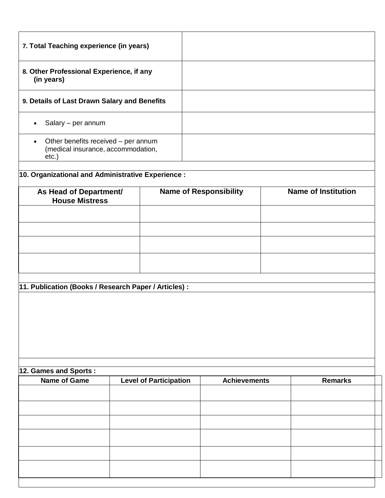| 7. Total Teaching experience (in years)                                                         |  |                               |  |                               |                            |
|-------------------------------------------------------------------------------------------------|--|-------------------------------|--|-------------------------------|----------------------------|
| 8. Other Professional Experience, if any<br>(in years)                                          |  |                               |  |                               |                            |
| 9. Details of Last Drawn Salary and Benefits                                                    |  |                               |  |                               |                            |
| Salary - per annum<br>$\bullet$                                                                 |  |                               |  |                               |                            |
| Other benefits received - per annum<br>$\bullet$<br>(medical insurance, accommodation,<br>etc.) |  |                               |  |                               |                            |
| 10. Organizational and Administrative Experience :                                              |  |                               |  |                               |                            |
|                                                                                                 |  |                               |  | <b>Name of Responsibility</b> | <b>Name of Institution</b> |
| As Head of Department/<br><b>House Mistress</b>                                                 |  |                               |  |                               |                            |
|                                                                                                 |  |                               |  |                               |                            |
|                                                                                                 |  |                               |  |                               |                            |
|                                                                                                 |  |                               |  |                               |                            |
|                                                                                                 |  |                               |  |                               |                            |
|                                                                                                 |  |                               |  |                               |                            |
| 11. Publication (Books / Research Paper / Articles) :                                           |  |                               |  |                               |                            |
|                                                                                                 |  |                               |  |                               |                            |
| 12. Games and Sports:                                                                           |  |                               |  |                               |                            |
| <b>Name of Game</b>                                                                             |  | <b>Level of Participation</b> |  | <b>Achievements</b>           | <b>Remarks</b>             |
|                                                                                                 |  |                               |  |                               |                            |
|                                                                                                 |  |                               |  |                               |                            |
|                                                                                                 |  |                               |  |                               |                            |
|                                                                                                 |  |                               |  |                               |                            |
|                                                                                                 |  |                               |  |                               |                            |
|                                                                                                 |  |                               |  |                               |                            |